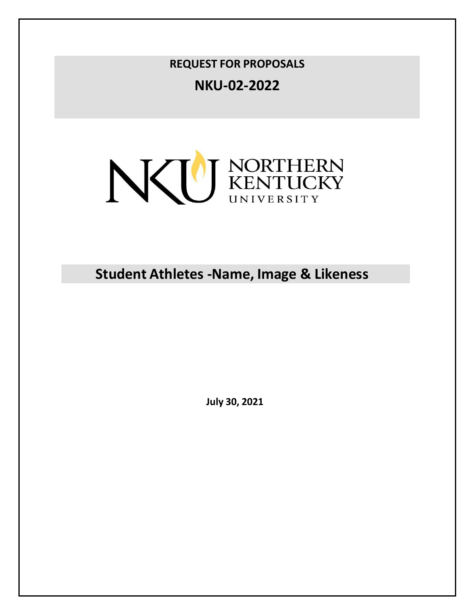**REQUEST FOR PROPOSALS**

**NKU-02-2022**



**Student Athletes -Name, Image & Likeness**

**July 30, 2021**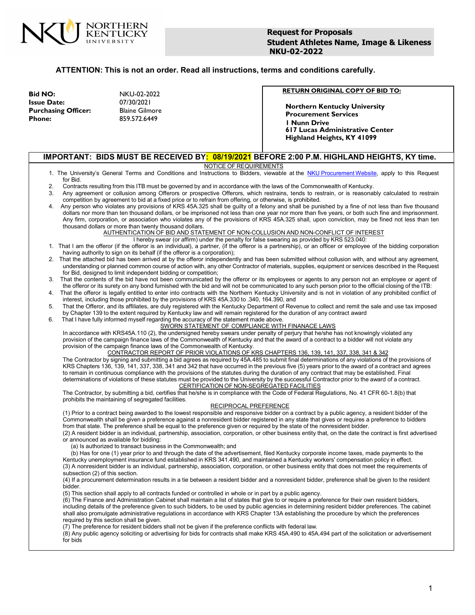

#### **ATTENTION: This is not an order. Read all instructions, terms and conditions carefully.**

**Bid NO:** NKU-02-2022 **Issue Date:** 07/30/2021 **Blaine Gilmore Phone:** 859.572.6449

#### **RETURN ORIGINAL COPY OF BID TO:**

**Northern Kentucky University Procurement Services 1 Nunn Drive 617 Lucas Administrative Center Highland Heights, KY 41099**

#### **IMPORTANT: BIDS MUST BE RECEIVED BY: 08/19/2021 BEFORE 2:00 P.M. HIGHLAND HEIGHTS, KY time.**

#### NOTICE OF REQUIREMENTS

- 1. The University's General Terms and Conditions and Instructions to Bidders, viewable at the NKU [Procurement](https://inside.nku.edu/procurement/policies/terms-and-conditions.html) Website, apply to this Request for Bid.
- 2. Contracts resulting from this ITB must be governed by and in accordance with the laws of the Commonwealth of Kentucky.
- Any agreement or collusion among Offerors or prospective Offerors, which restrains, tends to restrain, or is reasonably calculated to restrain competition by agreement to bid at a fixed price or to refrain from offering, or otherwise, is prohibited.
- 4. Any person who violates any provisions of KRS 45A.325 shall be guilty of a felony and shall be punished by a fine of not less than five thousand dollars nor more than ten thousand dollars, or be imprisoned not less than one year nor more than five years, or both such fine and imprisonment. Any firm, corporation, or association who violates any of the provisions of KRS 45A.325 shall, upon conviction, may be fined not less than ten thousand dollars or more than twenty thousand dollars.

# AUTHENTICATION OF BID AND STATEMENT OF NON-COLLUSION AND NON-CONFLICT OF INTEREST

- I hereby swear (or affirm) under the penalty for false swearing as provided by KRS 523.040:
- 1. That I am the offeror (if the offeror is an individual), a partner, (if the offeror is a partnership), or an officer or employee of the bidding corporation having authority to sign on its behalf (if the offeror is a corporation);
- 2. That the attached bid has been arrived at by the offeror independently and has been submitted without collusion with, and without any agreement, understanding or planned common course of action with, any other Contractor of materials, supplies, equipment or services described in the Request for Bid, designed to limit independent bidding or competition;
- 3. That the contents of the bid have not been communicated by the offeror or its employees or agents to any person not an employee or agent of the offeror or its surety on any bond furnished with the bid and will not be communicated to any such person prior to the official closing of the ITB:
- 4. That the offeror is legally entitled to enter into contracts with the Northern Kentucky University and is not in violation of any prohibited conflict of interest, including those prohibited by the provisions of KRS 45A.330 to .340, 164.390, and
- 5. That the Offeror, and its affiliates, are duly registered with the Kentucky Department of Revenue to collect and remit the sale and use tax imposed by Chapter 139 to the extent required by Kentucky law and will remain registered for the duration of any contract award
- 6. That I have fully informed myself regarding the accuracy of the statement made above. SWORN STATEMENT OF COMPLIANCE WITH FINANACE LAWS

In accordance with KRS45A.110 (2), the undersigned hereby swears under penalty of perjury that he/she has not knowingly violated any provision of the campaign finance laws of the Commonwealth of Kentucky and that the award of a contract to a bidder will not violate any provision of the campaign finance laws of the Commonwealth of Kentucky.

CONTRACTOR REPORT OF PRIOR VIOLATIONS OF KRS CHAPTERS 136, 139, 141, 337, 338, 341 & 342 The Contractor by signing and submitting a bid agrees as required by 45A.485 to submit final determinations of any violations of the provisions of KRS Chapters 136, 139, 141, 337, 338, 341 and 342 that have occurred in the previous five (5) years prior to the award of a contract and agrees to remain in continuous compliance with the provisions of the statutes during the duration of any contract that may be established. Final determinations of violations of these statutes must be provided to the University by the successful Contractor prior to the award of a contract. CERTIFICATION OF NON-SEGREGATED FACILITIES

The Contractor, by submitting a bid, certifies that he/she is in compliance with the Code of Federal Regulations, No. 41 CFR 60-1.8(b) that prohibits the maintaining of segregated facilities.

#### RECIPROCAL PREFERENCE

(1) Prior to a contract being awarded to the lowest responsible and responsive bidder on a contract by a public agency, a resident bidder of the Commonwealth shall be given a preference against a nonresident bidder registered in any state that gives or requires a preference to bidders from that state. The preference shall be equal to the preference given or required by the state of the nonresident bidder.

(2) A resident bidder is an individual, partnership, association, corporation, or other business entity that, on the date the contract is first advertised or announced as available for bidding:

(a) Is authorized to transact business in the Commonwealth; and

(b) Has for one (1) year prior to and through the date of the advertisement, filed Kentucky corporate income taxes, made payments to the Kentucky unemployment insurance fund established in KRS 341.490, and maintained a Kentucky workers' compensation policy in effect. (3) A nonresident bidder is an individual, partnership, association, corporation, or other business entity that does not meet the requirements of subsection (2) of this section.

(4) If a procurement determination results in a tie between a resident bidder and a nonresident bidder, preference shall be given to the resident bidder.

(5) This section shall apply to all contracts funded or controlled in whole or in part by a public agency.

(6) The Finance and Administration Cabinet shall maintain a list of states that give to or require a preference for their own resident bidders, including details of the preference given to such bidders, to be used by public agencies in determining resident bidder preferences. The cabinet shall also promulgate administrative regulations in accordance with KRS Chapter 13A establishing the procedure by which the preferences required by this section shall be given.

(7) The preference for resident bidders shall not be given if the preference conflicts with federal law.

(8) Any public agency soliciting or advertising for bids for contracts shall make KRS 45A.490 to 45A.494 part of the solicitation or advertisement for bids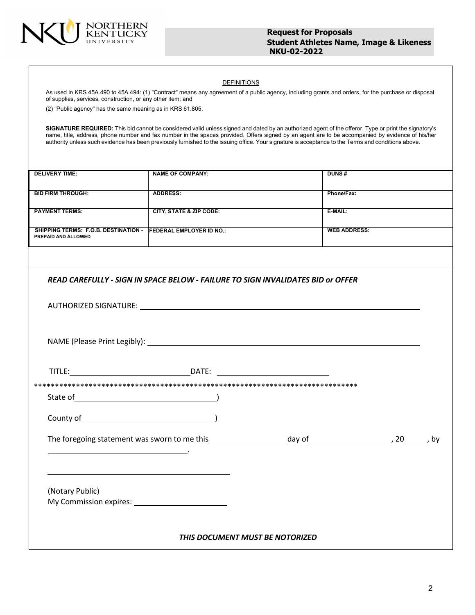

#### DEFINITIONS

As used in KRS 45A.490 to 45A.494: (1) "Contract" means any agreement of a public agency, including grants and orders, for the purchase or disposal of supplies, services, construction, or any other item; and

(2) "Public agency" has the same meaning as in KRS 61.805.

**SIGNATURE REQUIRED:** This bid cannot be considered valid unless signed and dated by an authorized agent of the offeror. Type or print the signatory's name, title, address, phone number and fax number in the spaces provided. Offers signed by an agent are to be accompanied by evidence of his/her authority unless such evidence has been previously furnished to the issuing office. Your signature is acceptance to the Terms and conditions above.

| <b>DELIVERY TIME:</b>                                                                | <b>NAME OF COMPANY:</b>                                                                | DUNS#               |  |
|--------------------------------------------------------------------------------------|----------------------------------------------------------------------------------------|---------------------|--|
| <b>BID FIRM THROUGH:</b>                                                             | <b>ADDRESS:</b>                                                                        | Phone/Fax:          |  |
| <b>PAYMENT TERMS:</b>                                                                | <b>CITY, STATE &amp; ZIP CODE:</b>                                                     | $E-MAIL:$           |  |
| SHIPPING TERMS: F.O.B. DESTINATION - FEDERAL EMPLOYER ID NO.:<br>PREPAID AND ALLOWED |                                                                                        | <b>WEB ADDRESS:</b> |  |
|                                                                                      |                                                                                        |                     |  |
|                                                                                      | <b>READ CAREFULLY - SIGN IN SPACE BELOW - FAILURE TO SIGN INVALIDATES BID or OFFER</b> |                     |  |
|                                                                                      |                                                                                        |                     |  |
|                                                                                      |                                                                                        |                     |  |
|                                                                                      |                                                                                        |                     |  |
|                                                                                      | TITLE: DATE:                                                                           |                     |  |
|                                                                                      |                                                                                        |                     |  |
|                                                                                      |                                                                                        |                     |  |
|                                                                                      |                                                                                        |                     |  |
|                                                                                      |                                                                                        |                     |  |
| (Notary Public)                                                                      |                                                                                        |                     |  |
|                                                                                      |                                                                                        |                     |  |
|                                                                                      |                                                                                        |                     |  |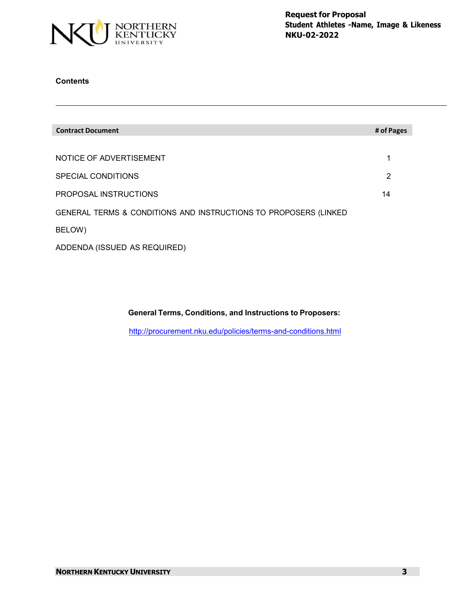

# **Contents**

| <b>Contract Document</b>                                         | # of Pages |
|------------------------------------------------------------------|------------|
|                                                                  |            |
| NOTICE OF ADVERTISEMENT                                          | 1          |
| SPECIAL CONDITIONS                                               | 2          |
| PROPOSAL INSTRUCTIONS                                            | 14         |
| GENERAL TERMS & CONDITIONS AND INSTRUCTIONS TO PROPOSERS (LINKED |            |
| BELOW)                                                           |            |
| ADDENDA (ISSUED AS REQUIRED)                                     |            |

**General Terms, Conditions, and Instructions to Proposers:**

<http://procurement.nku.edu/policies/terms-and-conditions.html>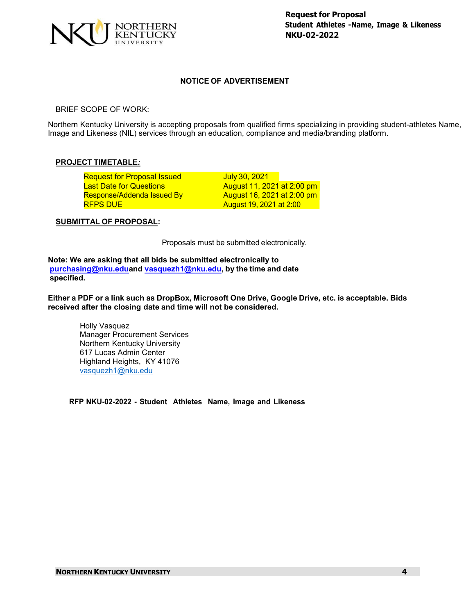

# **NOTICE OF ADVERTISEMENT**

BRIEF SCOPE OF WORK:

Northern Kentucky University is accepting proposals from qualified firms specializing in providing student-athletes Name, Image and Likeness (NIL) services through an education, compliance and media/branding platform.

#### **PROJECT TIMETABLE***:*

| <b>Request for Proposal Issued</b> | July 30, 2021              |  |
|------------------------------------|----------------------------|--|
| <b>Last Date for Questions</b>     | August 11, 2021 at 2:00 pm |  |
| Response/Addenda Issued By         | August 16, 2021 at 2:00 pm |  |
| <b>RFPS DUE</b>                    | August 19, 2021 at 2:00    |  |

### **SUBMITTAL OF PROPOSAL:**

Proposals must be submitted electronically.

**Note: We are asking that all bids be submitted electronically to [purchasing@nku.edua](mailto:purchasing@nku.edu)nd [vasquezh1@nku.edu,](mailto:vasquezh1@nku.edu) by the time and date specified.**

Either a PDF or a link such as DropBox, Microsoft One Drive, Google Drive, etc. is acceptable. Bids **received after the closing date and time will not be considered.**

Holly Vasquez Manager Procurement Services Northern Kentucky University 617 Lucas Admin Center Highland Heights, KY 41076 [vasquezh1@nku.edu](mailto:vasquezh1@nku.edu)

**RFP NKU-02-2022 - Student Athletes Name, Image and Likeness**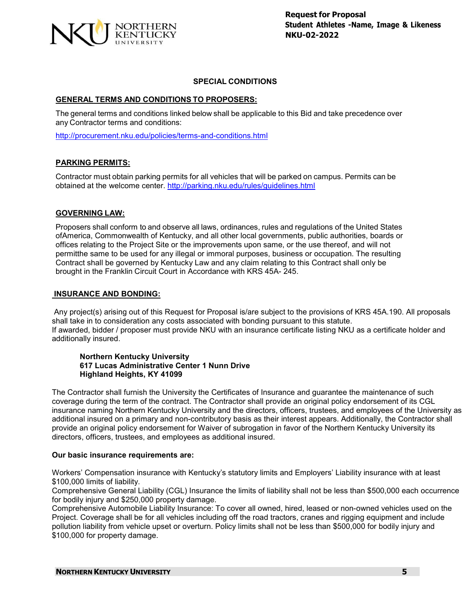

# **SPECIAL CONDITIONS**

# **GENERAL TERMS AND CONDITIONS TO PROPOSERS:**

The general terms and conditions linked below shall be applicable to this Bid and take precedence over any Contractor terms and conditions:

<http://procurement.nku.edu/policies/terms-and-conditions.html>

# **PARKING PERMITS:**

Contractor must obtain parking permits for all vehicles that will be parked on campus. Permits can be obtained at the welcome center. <http://parking.nku.edu/rules/guidelines.html>

# **GOVERNING LAW:**

Proposers shall conform to and observe all laws, ordinances, rules and regulations of the United States ofAmerica, Commonwealth of Kentucky, and all other local governments, public authorities, boards or offices relating to the Project Site or the improvements upon same, or the use thereof, and will not permitthe same to be used for any illegal or immoral purposes, business or occupation. The resulting Contract shall be governed by Kentucky Law and any claim relating to this Contract shall only be brought in the Franklin Circuit Court in Accordance with KRS 45A- 245.

#### **INSURANCE AND BONDING:**

Any project(s) arising out of this Request for Proposal is/are subject to the provisions of KRS 45A.190. All proposals shall take in to consideration any costs associated with bonding pursuant to this statute. If awarded, bidder / proposer must provide NKU with an insurance certificate listing NKU as a certificate holder and additionally insured.

#### **Northern Kentucky University 617 Lucas Administrative Center 1 Nunn Drive Highland Heights, KY 41099**

The Contractor shall furnish the University the Certificates of Insurance and guarantee the maintenance of such coverage during the term of the contract. The Contractor shall provide an original policy endorsement of its CGL insurance naming Northern Kentucky University and the directors, officers, trustees, and employees of the University as additional insured on a primary and non-contributory basis as their interest appears. Additionally, the Contractor shall provide an original policy endorsement for Waiver of subrogation in favor of the Northern Kentucky University its directors, officers, trustees, and employees as additional insured.

#### **Our basic insurance requirements are:**

Workers' Compensation insurance with Kentucky's statutory limits and Employers' Liability insurance with at least \$100,000 limits of liability.

Comprehensive General Liability (CGL) Insurance the limits of liability shall not be less than \$500,000 each occurrence for bodily injury and \$250,000 property damage.

Comprehensive Automobile Liability Insurance: To cover all owned, hired, leased or non-owned vehicles used on the Project. Coverage shall be for all vehicles including off the road tractors, cranes and rigging equipment and include pollution liability from vehicle upset or overturn. Policy limits shall not be less than \$500,000 for bodily injury and \$100,000 for property damage.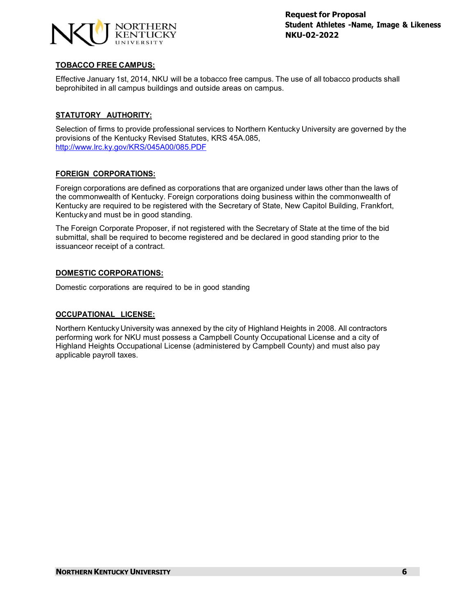

# **TOBACCO FREE CAMPUS:**

Effective January 1st, 2014, NKU will be a tobacco free campus. The use of all tobacco products shall beprohibited in all campus buildings and outside areas on campus.

# **STATUTORY AUTHORITY:**

Selection of firms to provide professional services to Northern Kentucky University are governed by the provisions of the Kentucky Revised Statutes, KRS 45A.085, <http://www.lrc.ky.gov/KRS/045A00/085.PDF>

# **FOREIGN CORPORATIONS:**

Foreign corporations are defined as corporations that are organized under laws other than the laws of the commonwealth of Kentucky. Foreign corporations doing business within the commonwealth of Kentucky are required to be registered with the Secretary of State, New Capitol Building, Frankfort, Kentucky and must be in good standing.

The Foreign Corporate Proposer, if not registered with the Secretary of State at the time of the bid submittal, shall be required to become registered and be declared in good standing prior to the issuanceor receipt of a contract.

# **DOMESTIC CORPORATIONS:**

Domestic corporations are required to be in good standing

#### **OCCUPATIONAL LICENSE:**

Northern Kentucky University was annexed by the city of Highland Heights in 2008. All contractors performing work for NKU must possess a Campbell County Occupational License and a city of Highland Heights Occupational License (administered by Campbell County) and must also pay applicable payroll taxes.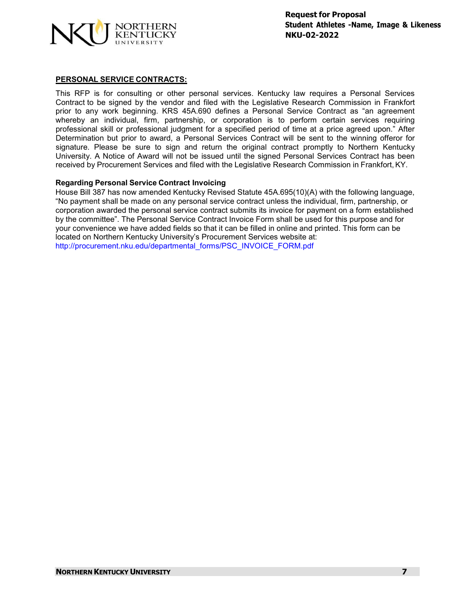

### **PERSONAL SERVICE CONTRACTS:**

This RFP is for consulting or other personal services. Kentucky law requires a Personal Services Contract to be signed by the vendor and filed with the Legislative Research Commission in Frankfort prior to any work beginning. KRS 45A.690 defines a Personal Service Contract as "an agreement whereby an individual, firm, partnership, or corporation is to perform certain services requiring professional skill or professional judgment for a specified period of time at a price agreed upon." After Determination but prior to award, a Personal Services Contract will be sent to the winning offeror for signature. Please be sure to sign and return the original contract promptly to Northern Kentucky University. A Notice of Award will not be issued until the signed Personal Services Contract has been received by Procurement Services and filed with the Legislative Research Commission in Frankfort, KY.

#### **Regarding Personal Service Contract Invoicing**

House Bill 387 has now amended Kentucky Revised Statute 45A.695(10)(A) with the following language, "No payment shall be made on any personal service contract unless the individual, firm, partnership, or corporation awarded the personal service contract submits its invoice for payment on a form established by the committee". The Personal Service Contract Invoice Form shall be used for this purpose and for your convenience we have added fields so that it can be filled in online and printed. This form can be located on Northern Kentucky University's Procurement Services website at: [http://procurement.nku.edu/departmental\\_forms/PSC\\_INVOICE\\_FORM.pdf](http://procurement.nku.edu/departmental_forms/PSC_INVOICE_FORM.pdf)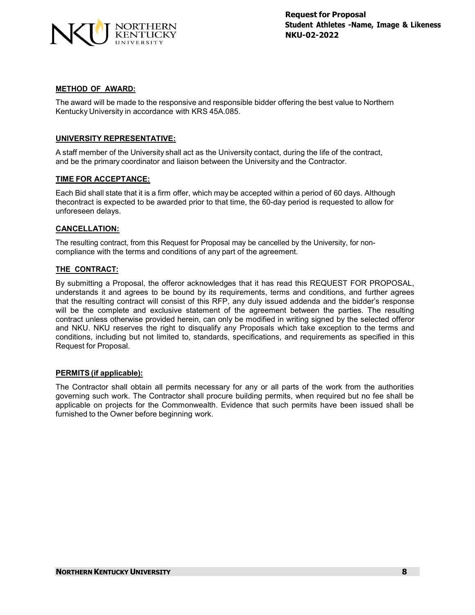

#### **METHOD OF AWARD:**

The award will be made to the responsive and responsible bidder offering the best value to Northern Kentucky University in accordance with KRS 45A.085.

# **UNIVERSITY REPRESENTATIVE:**

A staff member of the University shall act as the University contact, during the life of the contract, and be the primary coordinator and liaison between the University and the Contractor.

# **TIME FOR ACCEPTANCE:**

Each Bid shall state that it is a firm offer, which may be accepted within a period of 60 days. Although thecontract is expected to be awarded prior to that time, the 60-day period is requested to allow for unforeseen delays.

# **CANCELLATION:**

The resulting contract, from this Request for Proposal may be cancelled by the University, for noncompliance with the terms and conditions of any part of the agreement.

# **THE CONTRACT:**

By submitting a Proposal, the offeror acknowledges that it has read this REQUEST FOR PROPOSAL, understands it and agrees to be bound by its requirements, terms and conditions, and further agrees that the resulting contract will consist of this RFP, any duly issued addenda and the bidder's response will be the complete and exclusive statement of the agreement between the parties. The resulting contract unless otherwise provided herein, can only be modified in writing signed by the selected offeror and NKU. NKU reserves the right to disqualify any Proposals which take exception to the terms and conditions, including but not limited to, standards, specifications, and requirements as specified in this Request for Proposal.

#### **PERMITS (if applicable):**

The Contractor shall obtain all permits necessary for any or all parts of the work from the authorities governing such work. The Contractor shall procure building permits, when required but no fee shall be applicable on projects for the Commonwealth. Evidence that such permits have been issued shall be furnished to the Owner before beginning work.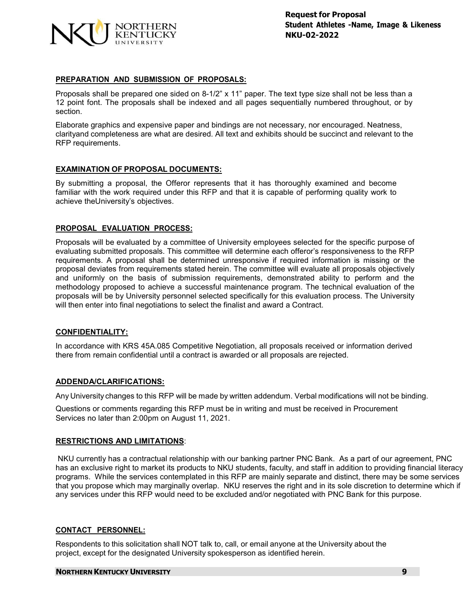

# **PREPARATION AND SUBMISSION OF PROPOSALS:**

Proposals shall be prepared one sided on 8-1/2" x 11" paper. The text type size shall not be less than a 12 point font. The proposals shall be indexed and all pages sequentially numbered throughout, or by section.

Elaborate graphics and expensive paper and bindings are not necessary, nor encouraged. Neatness, clarityand completeness are what are desired. All text and exhibits should be succinct and relevant to the RFP requirements.

# **EXAMINATION OF PROPOSAL DOCUMENTS:**

By submitting a proposal, the Offeror represents that it has thoroughly examined and become familiar with the work required under this RFP and that it is capable of performing quality work to achieve theUniversity's objectives.

# **PROPOSAL EVALUATION PROCESS:**

Proposals will be evaluated by a committee of University employees selected for the specific purpose of evaluating submitted proposals. This committee will determine each offeror's responsiveness to the RFP requirements. A proposal shall be determined unresponsive if required information is missing or the proposal deviates from requirements stated herein. The committee will evaluate all proposals objectively and uniformly on the basis of submission requirements, demonstrated ability to perform and the methodology proposed to achieve a successful maintenance program. The technical evaluation of the proposals will be by University personnel selected specifically for this evaluation process. The University will then enter into final negotiations to select the finalist and award a Contract.

#### **CONFIDENTIALITY:**

In accordance with KRS 45A.085 Competitive Negotiation, all proposals received or information derived there from remain confidential until a contract is awarded or all proposals are rejected.

#### **ADDENDA/CLARIFICATIONS:**

Any University changes to this RFP will be made by written addendum. Verbal modifications will not be binding.

Questions or comments regarding this RFP must be in writing and must be received in Procurement Services no later than 2:00pm on August 11, 2021.

#### **RESTRICTIONS AND LIMITATIONS**:

NKU currently has a contractual relationship with our banking partner PNC Bank. As a part of our agreement, PNC has an exclusive right to market its products to NKU students, faculty, and staff in addition to providing financial literacy programs. While the services contemplated in this RFP are mainly separate and distinct, there may be some services that you propose which may marginally overlap. NKU reserves the right and in its sole discretion to determine which if any services under this RFP would need to be excluded and/or negotiated with PNC Bank for this purpose.

#### **CONTACT PERSONNEL:**

Respondents to this solicitation shall NOT talk to, call, or email anyone at the University about the project, except for the designated University spokesperson as identified herein.

#### **NORTHERN KENTUCKY UNIVERSITY 9**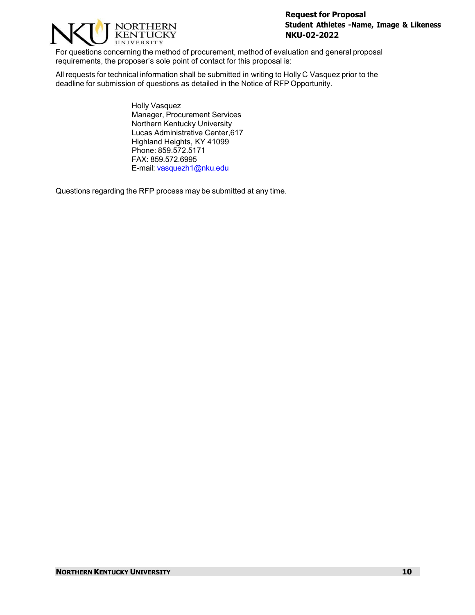

For questions concerning the method of procurement, method of evaluation and general proposal requirements, the proposer's sole point of contact for this proposal is:

All requests for technical information shall be submitted in writing to Holly C Vasquez prior to the deadline for submission of questions as detailed in the Notice of RFP Opportunity.

> Holly Vasquez Manager, Procurement Services Northern Kentucky University Lucas Administrative Center,617 Highland Heights, KY 41099 Phone: 859.572.5171 FAX: 859.572.6995 E-mail: [vasquezh1@nku.edu](mailto:%20vasquezh1@nku.edu)

Questions regarding the RFP process may be submitted at any time.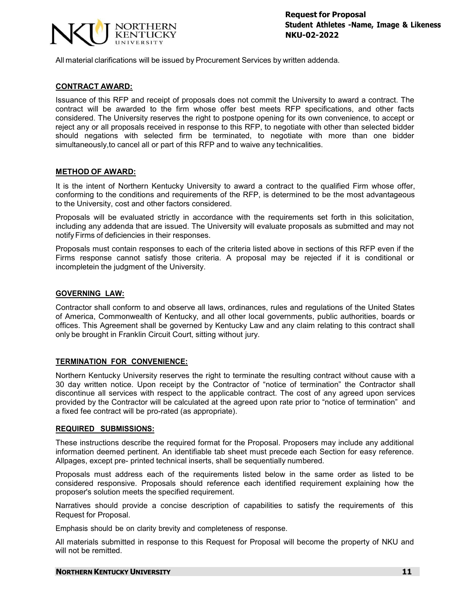

All material clarifications will be issued by Procurement Services by written addenda.

### **CONTRACT AWARD:**

Issuance of this RFP and receipt of proposals does not commit the University to award a contract. The contract will be awarded to the firm whose offer best meets RFP specifications, and other facts considered. The University reserves the right to postpone opening for its own convenience, to accept or reject any or all proposals received in response to this RFP, to negotiate with other than selected bidder should negations with selected firm be terminated, to negotiate with more than one bidder simultaneously,to cancel all or part of this RFP and to waive any technicalities.

#### **METHOD OF AWARD:**

It is the intent of Northern Kentucky University to award a contract to the qualified Firm whose offer, conforming to the conditions and requirements of the RFP, is determined to be the most advantageous to the University, cost and other factors considered.

Proposals will be evaluated strictly in accordance with the requirements set forth in this solicitation, including any addenda that are issued. The University will evaluate proposals as submitted and may not notifyFirms of deficiencies in their responses.

Proposals must contain responses to each of the criteria listed above in sections of this RFP even if the Firms response cannot satisfy those criteria. A proposal may be rejected if it is conditional or incompletein the judgment of the University.

# **GOVERNING LAW:**

Contractor shall conform to and observe all laws, ordinances, rules and regulations of the United States of America, Commonwealth of Kentucky, and all other local governments, public authorities, boards or offices. This Agreement shall be governed by Kentucky Law and any claim relating to this contract shall only be brought in Franklin Circuit Court, sitting without jury.

# **TERMINATION FOR CONVENIENCE:**

Northern Kentucky University reserves the right to terminate the resulting contract without cause with a 30 day written notice. Upon receipt by the Contractor of "notice of termination" the Contractor shall discontinue all services with respect to the applicable contract. The cost of any agreed upon services provided by the Contractor will be calculated at the agreed upon rate prior to "notice of termination" and a fixed fee contract will be pro-rated (as appropriate).

#### **REQUIRED SUBMISSIONS:**

These instructions describe the required format for the Proposal. Proposers may include any additional information deemed pertinent. An identifiable tab sheet must precede each Section for easy reference. Allpages, except pre- printed technical inserts, shall be sequentially numbered.

Proposals must address each of the requirements listed below in the same order as listed to be considered responsive. Proposals should reference each identified requirement explaining how the proposer's solution meets the specified requirement.

Narratives should provide a concise description of capabilities to satisfy the requirements of this Request for Proposal.

Emphasis should be on clarity brevity and completeness of response.

All materials submitted in response to this Request for Proposal will become the property of NKU and will not be remitted.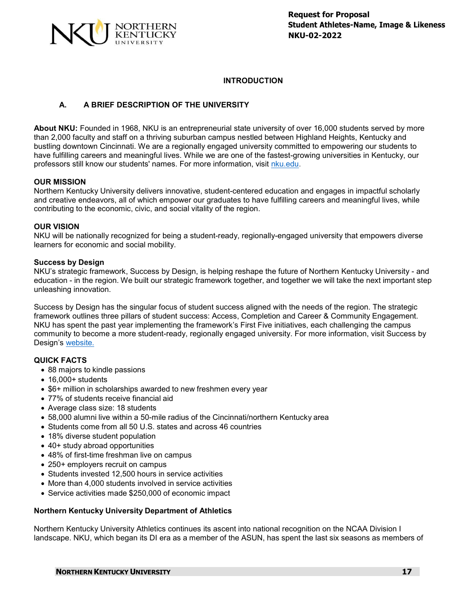

# **INTRODUCTION**

# **A. A BRIEF DESCRIPTION OF THE UNIVERSITY**

**About NKU:** Founded in 1968, NKU is an entrepreneurial state university of over 16,000 students served by more than 2,000 faculty and staff on a thriving suburban campus nestled between Highland Heights, Kentucky and bustling downtown Cincinnati. We are a regionally engaged university committed to empowering our students to have fulfilling careers and meaningful lives. While we are one of the fastest-growing universities in Kentucky, our professors still know our students' names. For more information, visit [nku.edu.](https://www.nku.edu/)

# **OUR MISSION**

Northern Kentucky University delivers innovative, student-centered education and engages in impactful scholarly and creative endeavors, all of which empower our graduates to have fulfilling careers and meaningful lives, while contributing to the economic, civic, and social vitality of the region.

# **OUR VISION**

NKU will be nationally recognized for being a student-ready, regionally-engaged university that empowers diverse learners for economic and social mobility.

# **Success by Design**

NKU's strategic framework, Success by Design, is helping reshape the future of Northern Kentucky University - and education - in the region. We built our strategic framework together, and together we will take the next important step unleashing innovation.

Success by Design has the singular focus of student success aligned with the needs of the region. The strategic framework outlines three pillars of student success: Access, Completion and Career & Community Engagement. NKU has spent the past year implementing the framework's First Five initiatives, each challenging the campus community to become a more student-ready, regionally engaged university. For more information, visit Success by Design's [website.](https://www.nku.edu/successbydesign.html)

# **QUICK FACTS**

- 88 majors to kindle passions
- 16,000+ students
- \$6+ million in scholarships awarded to new freshmen every year
- 77% of students receive financial aid
- Average class size: 18 students
- 58,000 alumni live within a 50-mile radius of the Cincinnati/northern Kentucky area
- Students come from all 50 U.S. states and across 46 countries
- 18% diverse student population
- 40+ study abroad opportunities
- 48% of first-time freshman live on campus
- 250+ employers recruit on campus
- Students invested 12,500 hours in service activities
- More than 4,000 students involved in service activities
- Service activities made \$250,000 of economic impact

# **Northern Kentucky University Department of Athletics**

Northern Kentucky University Athletics continues its ascent into national recognition on the NCAA Division I landscape. NKU, which began its DI era as a member of the ASUN, has spent the last six seasons as members of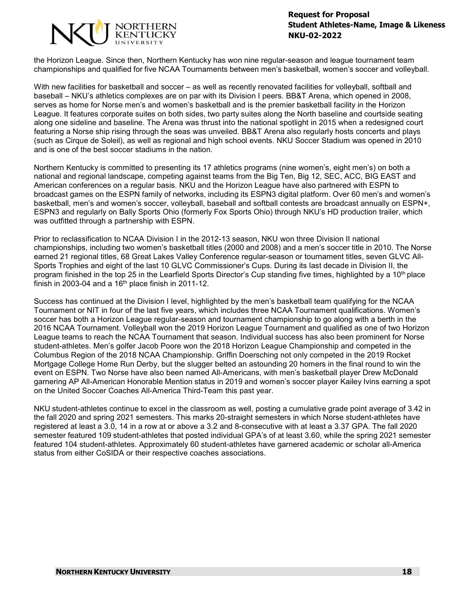

the Horizon League. Since then, Northern Kentucky has won nine regular-season and league tournament team championships and qualified for five NCAA Tournaments between men's basketball, women's soccer and volleyball.

With new facilities for basketball and soccer – as well as recently renovated facilities for volleyball, softball and baseball – NKU's athletics complexes are on par with its Division I peers. BB&T Arena, which opened in 2008, serves as home for Norse men's and women's basketball and is the premier basketball facility in the Horizon League. It features corporate suites on both sides, two party suites along the North baseline and courtside seating along one sideline and baseline. The Arena was thrust into the national spotlight in 2015 when a redesigned court featuring a Norse ship rising through the seas was unveiled. BB&T Arena also regularly hosts concerts and plays (such as Cirque de Soleil), as well as regional and high school events. NKU Soccer Stadium was opened in 2010 and is one of the best soccer stadiums in the nation.

Northern Kentucky is committed to presenting its 17 athletics programs (nine women's, eight men's) on both a national and regional landscape, competing against teams from the Big Ten, Big 12, SEC, ACC, BIG EAST and American conferences on a regular basis. NKU and the Horizon League have also partnered with ESPN to broadcast games on the ESPN family of networks, including its ESPN3 digital platform. Over 60 men's and women's basketball, men's and women's soccer, volleyball, baseball and softball contests are broadcast annually on ESPN+, ESPN3 and regularly on Bally Sports Ohio (formerly Fox Sports Ohio) through NKU's HD production trailer, which was outfitted through a partnership with ESPN.

Prior to reclassification to NCAA Division I in the 2012-13 season, NKU won three Division II national championships, including two women's basketball titles (2000 and 2008) and a men's soccer title in 2010. The Norse earned 21 regional titles, 68 Great Lakes Valley Conference regular-season or tournament titles, seven GLVC All-Sports Trophies and eight of the last 10 GLVC Commissioner's Cups. During its last decade in Division II, the program finished in the top 25 in the Learfield Sports Director's Cup standing five times, highlighted by a 10th place finish in 2003-04 and a  $16<sup>th</sup>$  place finish in 2011-12.

Success has continued at the Division I level, highlighted by the men's basketball team qualifying for the NCAA Tournament or NIT in four of the last five years, which includes three NCAA Tournament qualifications. Women's soccer has both a Horizon League regular-season and tournament championship to go along with a berth in the 2016 NCAA Tournament. Volleyball won the 2019 Horizon League Tournament and qualified as one of two Horizon League teams to reach the NCAA Tournament that season. Individual success has also been prominent for Norse student-athletes. Men's golfer Jacob Poore won the 2018 Horizon League Championship and competed in the Columbus Region of the 2018 NCAA Championship. Griffin Doersching not only competed in the 2019 Rocket Mortgage College Home Run Derby, but the slugger belted an astounding 20 homers in the final round to win the event on ESPN. Two Norse have also been named All-Americans, with men's basketball player Drew McDonald garnering AP All-American Honorable Mention status in 2019 and women's soccer player Kailey Ivins earning a spot on the United Soccer Coaches All-America Third-Team this past year.

NKU student-athletes continue to excel in the classroom as well, posting a cumulative grade point average of 3.42 in the fall 2020 and spring 2021 semesters. This marks 20-straight semesters in which Norse student-athletes have registered at least a 3.0, 14 in a row at or above a 3.2 and 8-consecutive with at least a 3.37 GPA. The fall 2020 semester featured 109 student-athletes that posted individual GPA's of at least 3.60, while the spring 2021 semester featured 104 student-athletes. Approximately 60 student-athletes have garnered academic or scholar all-America status from either CoSIDA or their respective coaches associations.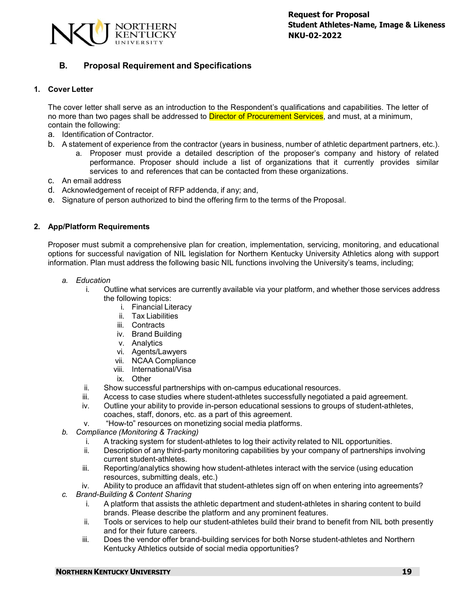

# **B. Proposal Requirement and Specifications**

# **1. Cover Letter**

The cover letter shall serve as an introduction to the Respondent's qualifications and capabilities. The letter of no more than two pages shall be addressed to Director of Procurement Services, and must, at a minimum, contain the following:

- a. Identification of Contractor.
- b. A statement of experience from the contractor (years in business, number of athletic department partners, etc.).
	- a. Proposer must provide a detailed description of the proposer's company and history of related performance. Proposer should include a list of organizations that it currently provides similar services to and references that can be contacted from these organizations.
- c. An email address
- d. Acknowledgement of receipt of RFP addenda, if any; and,
- e. Signature of person authorized to bind the offering firm to the terms of the Proposal.

# **2. App/Platform Requirements**

Proposer must submit a comprehensive plan for creation, implementation, servicing, monitoring, and educational options for successful navigation of NIL legislation for Northern Kentucky University Athletics along with support information. Plan must address the following basic NIL functions involving the University's teams, including;

- *a. Education*
	- i. Outline what services are currently available via your platform, and whether those services address the following topics:
		- i. Financial Literacy
		- ii. Tax Liabilities
		- iii. Contracts
		- iv. Brand Building
		- v. Analytics
		- vi. Agents/Lawyers
		- vii. NCAA Compliance
		- viii. International/Visa
		- ix. Other
	- ii. Show successful partnerships with on-campus educational resources.
	- iii. Access to case studies where student-athletes successfully negotiated a paid agreement.
	- iv. Outline your ability to provide in-person educational sessions to groups of student-athletes, coaches, staff, donors, etc. as a part of this agreement.
	- v. "How-to" resources on monetizing social media platforms.
- *b. Compliance (Monitoring & Tracking)*
	- i. A tracking system for student-athletes to log their activity related to NIL opportunities.
	- ii. Description of any third-party monitoring capabilities by your company of partnerships involving current student-athletes.
	- iii. Reporting/analytics showing how student-athletes interact with the service (using education resources, submitting deals, etc.)
	- iv. Ability to produce an affidavit that student-athletes sign off on when entering into agreements?
- *c. Brand-Building & Content Sharing*
	- i. A platform that assists the athletic department and student-athletes in sharing content to build brands. Please describe the platform and any prominent features.
	- ii. Tools or services to help our student-athletes build their brand to benefit from NIL both presently and for their future careers.
	- iii. Does the vendor offer brand-building services for both Norse student-athletes and Northern Kentucky Athletics outside of social media opportunities?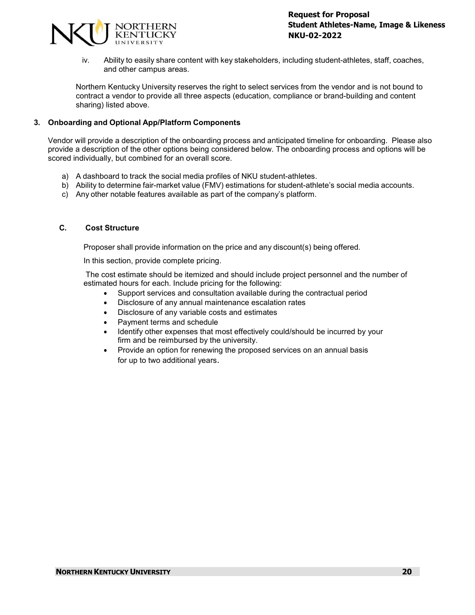

iv. Ability to easily share content with key stakeholders, including student-athletes, staff, coaches, and other campus areas.

Northern Kentucky University reserves the right to select services from the vendor and is not bound to contract a vendor to provide all three aspects (education, compliance or brand-building and content sharing) listed above.

# **3. Onboarding and Optional App/Platform Components**

Vendor will provide a description of the onboarding process and anticipated timeline for onboarding. Please also provide a description of the other options being considered below. The onboarding process and options will be scored individually, but combined for an overall score.

- a) A dashboard to track the social media profiles of NKU student-athletes.
- b) Ability to determine fair-market value (FMV) estimations for student-athlete's social media accounts.
- c) Any other notable features available as part of the company's platform.

#### **C. Cost Structure**

Proposer shall provide information on the price and any discount(s) being offered.

In this section, provide complete pricing.

The cost estimate should be itemized and should include project personnel and the number of estimated hours for each. Include pricing for the following:

- Support services and consultation available during the contractual period
- Disclosure of any annual maintenance escalation rates
- Disclosure of any variable costs and estimates
- Payment terms and schedule
- Identify other expenses that most effectively could/should be incurred by your firm and be reimbursed by the university.
- Provide an option for renewing the proposed services on an annual basis for up to two additional years.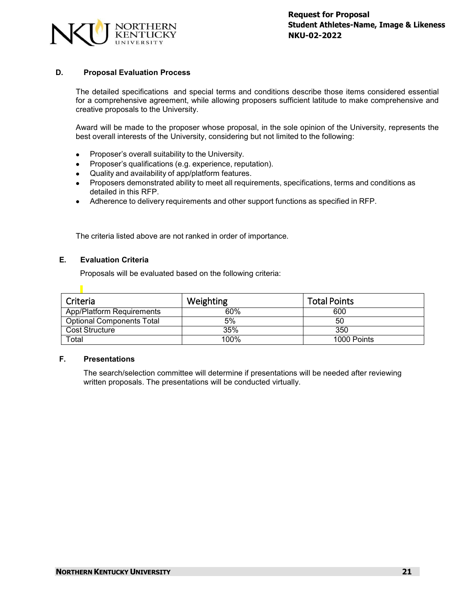

# **D. Proposal Evaluation Process**

The detailed specifications and special terms and conditions describe those items considered essential for a comprehensive agreement, while allowing proposers sufficient latitude to make comprehensive and creative proposals to the University.

Award will be made to the proposer whose proposal, in the sole opinion of the University, represents the best overall interests of the University, considering but not limited to the following:

- Proposer's overall suitability to the University.
- Proposer's qualifications (e.g. experience, reputation).
- Quality and availability of app/platform features.
- Proposers demonstrated ability to meet all requirements, specifications, terms and conditions as detailed in this RFP.
- Adherence to delivery requirements and other support functions as specified in RFP.

The criteria listed above are not ranked in order of importance.

#### **E. Evaluation Criteria**

 $\blacksquare$ 

Proposals will be evaluated based on the following criteria:

| Criteria                         | Weighting | <b>Total Points</b> |
|----------------------------------|-----------|---------------------|
| App/Platform Requirements        | 60%       | 600                 |
| <b>Optional Components Total</b> | 5%        | 50                  |
| Cost Structure                   | 35%       | 350                 |
| Total                            | 100%      | 1000 Points         |

# **F. Presentations**

The search/selection committee will determine if presentations will be needed after reviewing written proposals. The presentations will be conducted virtually.